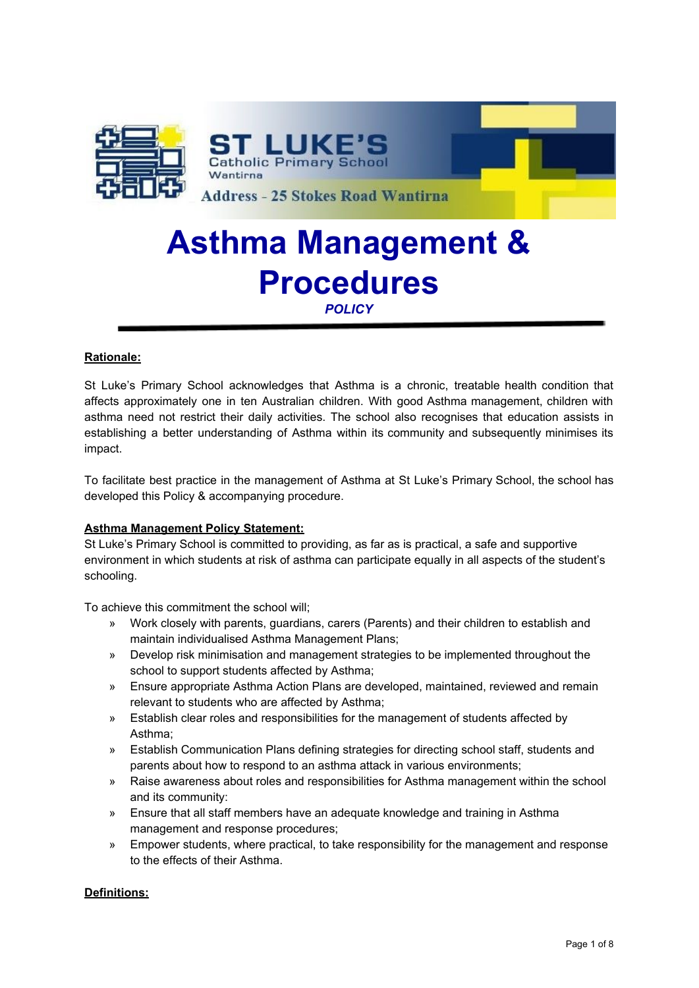

# **Asthma Management & Procedures**

*POLICY*

## **Rationale:**

St Luke's Primary School acknowledges that Asthma is a chronic, treatable health condition that affects approximately one in ten Australian children. With good Asthma management, children with asthma need not restrict their daily activities. The school also recognises that education assists in establishing a better understanding of Asthma within its community and subsequently minimises its impact.

To facilitate best practice in the management of Asthma at St Luke's Primary School, the school has developed this Policy & accompanying procedure.

## **Asthma Management Policy Statement:**

St Luke's Primary School is committed to providing, as far as is practical, a safe and supportive environment in which students at risk of asthma can participate equally in all aspects of the student's schooling.

To achieve this commitment the school will;

- » Work closely with parents, guardians, carers (Parents) and their children to establish and maintain individualised Asthma Management Plans;
- » Develop risk minimisation and management strategies to be implemented throughout the school to support students affected by Asthma;
- » Ensure appropriate Asthma Action Plans are developed, maintained, reviewed and remain relevant to students who are affected by Asthma;
- » Establish clear roles and responsibilities for the management of students affected by Asthma;
- » Establish Communication Plans defining strategies for directing school staff, students and parents about how to respond to an asthma attack in various environments;
- » Raise awareness about roles and responsibilities for Asthma management within the school and its community:
- » Ensure that all staff members have an adequate knowledge and training in Asthma management and response procedures;
- » Empower students, where practical, to take responsibility for the management and response to the effects of their Asthma.

## **Definitions:**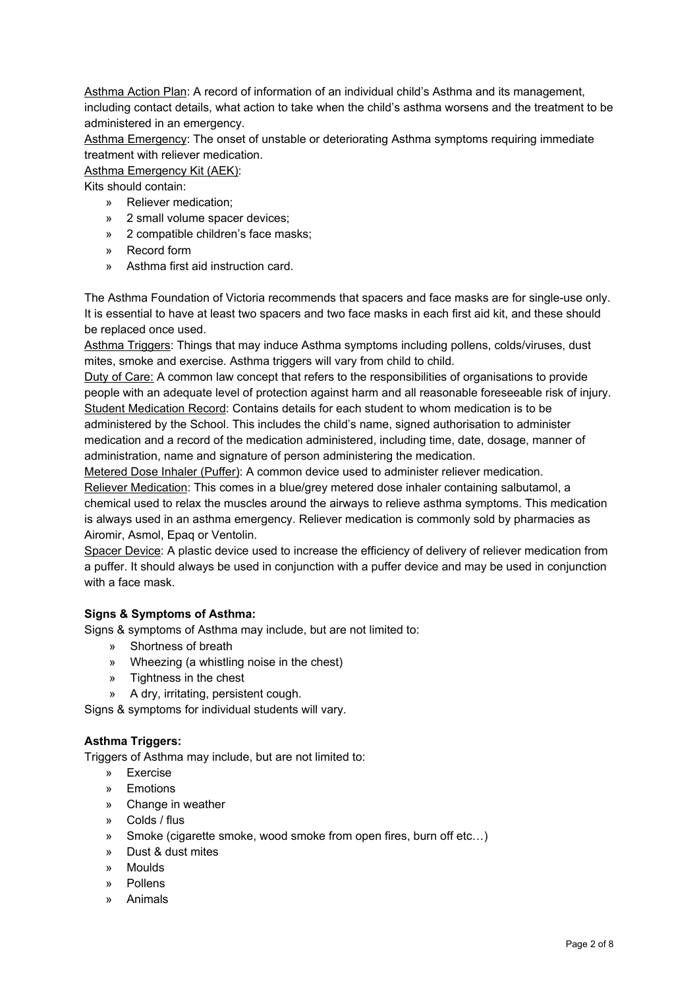Asthma Action Plan: A record of information of an individual child's Asthma and its management, including contact details, what action to take when the child's asthma worsens and the treatment to be administered in an emergency.

Asthma Emergency: The onset of unstable or deteriorating Asthma symptoms requiring immediate treatment with reliever medication.

## Asthma Emergency Kit (AEK):

Kits should contain:

- » Reliever medication;
- » 2 small volume spacer devices;
- » 2 compatible children's face masks;
- » Record form
- » Asthma first aid instruction card.

The Asthma Foundation of Victoria recommends that spacers and face masks are for single-use only. It is essential to have at least two spacers and two face masks in each first aid kit, and these should be replaced once used.

Asthma Triggers: Things that may induce Asthma symptoms including pollens, colds/viruses, dust mites, smoke and exercise. Asthma triggers will vary from child to child.

Duty of Care: A common law concept that refers to the responsibilities of organisations to provide people with an adequate level of protection against harm and all reasonable foreseeable risk of injury. Student Medication Record: Contains details for each student to whom medication is to be administered by the School. This includes the child's name, signed authorisation to administer medication and a record of the medication administered, including time, date, dosage, manner of administration, name and signature of person administering the medication.

Metered Dose Inhaler (Puffer): A common device used to administer reliever medication. Reliever Medication: This comes in a blue/grey metered dose inhaler containing salbutamol, a chemical used to relax the muscles around the airways to relieve asthma symptoms. This medication is always used in an asthma emergency. Reliever medication is commonly sold by pharmacies as Airomir, Asmol, Epaq or Ventolin.

Spacer Device: A plastic device used to increase the efficiency of delivery of reliever medication from a puffer. It should always be used in conjunction with a puffer device and may be used in conjunction with a face mask.

### **Signs & Symptoms of Asthma:**

Signs & symptoms of Asthma may include, but are not limited to:

- » Shortness of breath
- » Wheezing (a whistling noise in the chest)
- » Tightness in the chest
- » A dry, irritating, persistent cough.

Signs & symptoms for individual students will vary.

## **Asthma Triggers:**

Triggers of Asthma may include, but are not limited to:

- » Exercise
- » Emotions
- » Change in weather
- » Colds / flus
- » Smoke (cigarette smoke, wood smoke from open fires, burn off etc…)
- » Dust & dust mites
- » Moulds
- » Pollens
- » Animals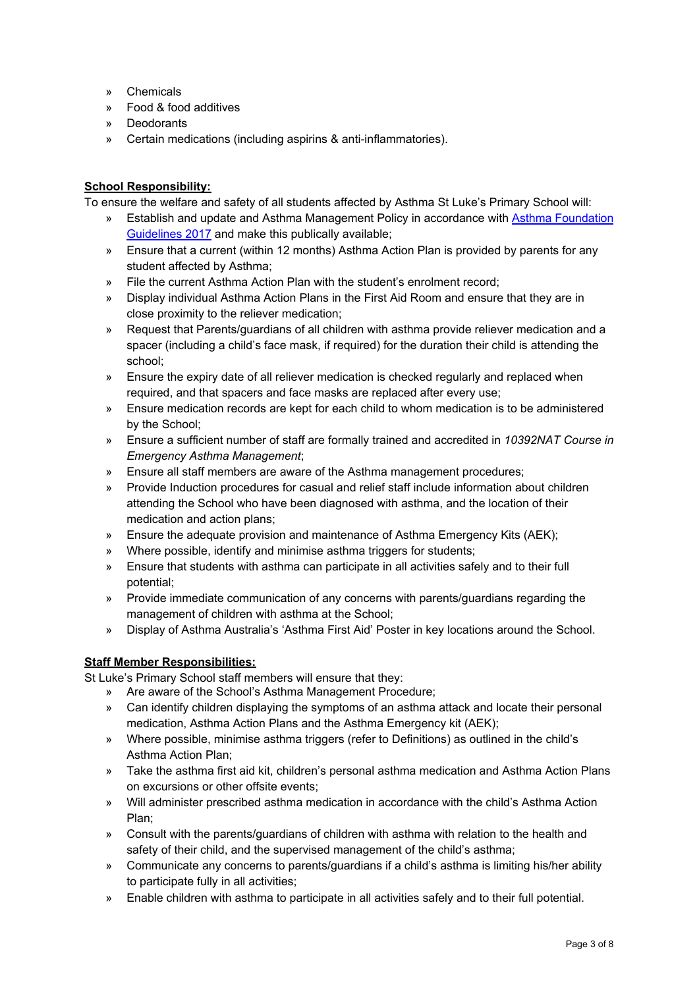- » Chemicals
- » Food & food additives
- » Deodorants
- » Certain medications (including aspirins & anti-inflammatories).

## **School Responsibility:**

To ensure the welfare and safety of all students affected by Asthma St Luke's Primary School will:

- » Establish and update and Asthma Management Policy in accordance with Asthma [Foundation](https://www.asthmaaustralia.org.au/vic/education-and-training/for-victorian-schools/victorian-schools-resources/school-resources) [Guidelines](https://www.asthmaaustralia.org.au/vic/education-and-training/for-victorian-schools/victorian-schools-resources/school-resources) 2017 and make this publically available;
- » Ensure that a current (within 12 months) Asthma Action Plan is provided by parents for any student affected by Asthma;
- » File the current Asthma Action Plan with the student's enrolment record;
- » Display individual Asthma Action Plans in the First Aid Room and ensure that they are in close proximity to the reliever medication;
- » Request that Parents/guardians of all children with asthma provide reliever medication and a spacer (including a child's face mask, if required) for the duration their child is attending the school;
- » Ensure the expiry date of all reliever medication is checked regularly and replaced when required, and that spacers and face masks are replaced after every use;
- » Ensure medication records are kept for each child to whom medication is to be administered by the School;
- » Ensure a sufficient number of staff are formally trained and accredited in *10392NAT Course in Emergency Asthma Management*;
- » Ensure all staff members are aware of the Asthma management procedures;
- » Provide Induction procedures for casual and relief staff include information about children attending the School who have been diagnosed with asthma, and the location of their medication and action plans;
- » Ensure the adequate provision and maintenance of Asthma Emergency Kits (AEK);
- » Where possible, identify and minimise asthma triggers for students;
- » Ensure that students with asthma can participate in all activities safely and to their full potential;
- » Provide immediate communication of any concerns with parents/guardians regarding the management of children with asthma at the School;
- » Display of Asthma Australia's 'Asthma First Aid' Poster in key locations around the School.

## **Staff Member Responsibilities:**

St Luke's Primary School staff members will ensure that they:

- » Are aware of the School's Asthma Management Procedure;
- » Can identify children displaying the symptoms of an asthma attack and locate their personal medication, Asthma Action Plans and the Asthma Emergency kit (AEK);
- » Where possible, minimise asthma triggers (refer to Definitions) as outlined in the child's Asthma Action Plan;
- » Take the asthma first aid kit, children's personal asthma medication and Asthma Action Plans on excursions or other offsite events;
- » Will administer prescribed asthma medication in accordance with the child's Asthma Action Plan;
- » Consult with the parents/guardians of children with asthma with relation to the health and safety of their child, and the supervised management of the child's asthma;
- » Communicate any concerns to parents/guardians if a child's asthma is limiting his/her ability to participate fully in all activities;
- » Enable children with asthma to participate in all activities safely and to their full potential.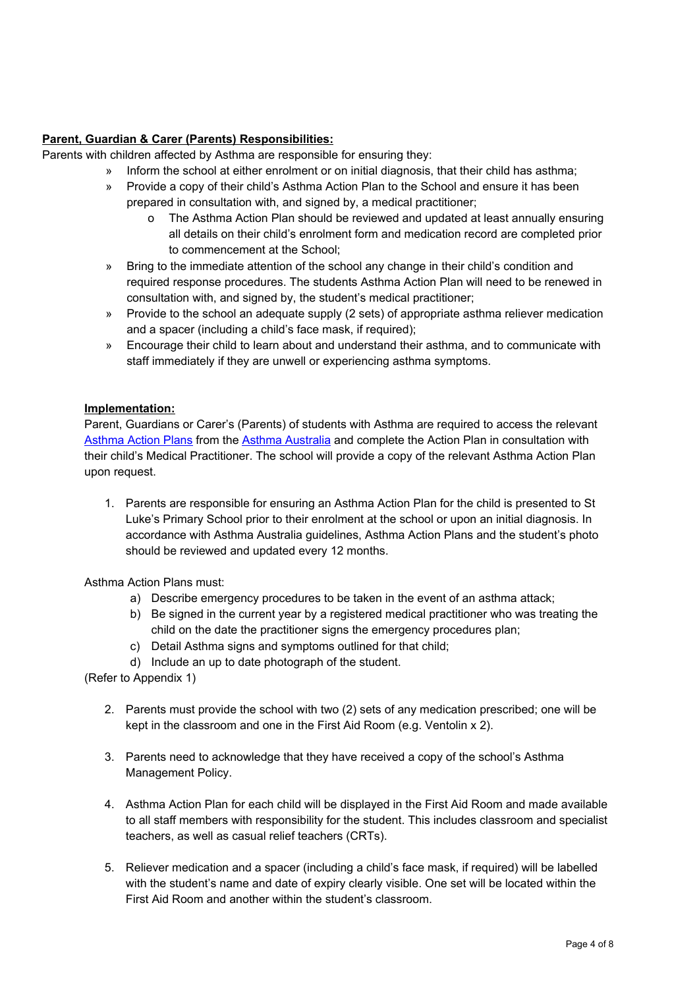## **Parent, Guardian & Carer (Parents) Responsibilities:**

Parents with children affected by Asthma are responsible for ensuring they:

- » Inform the school at either enrolment or on initial diagnosis, that their child has asthma;
- » Provide a copy of their child's Asthma Action Plan to the School and ensure it has been prepared in consultation with, and signed by, a medical practitioner;
	- o The Asthma Action Plan should be reviewed and updated at least annually ensuring all details on their child's enrolment form and medication record are completed prior to commencement at the School;
- » Bring to the immediate attention of the school any change in their child's condition and required response procedures. The students Asthma Action Plan will need to be renewed in consultation with, and signed by, the student's medical practitioner;
- » Provide to the school an adequate supply (2 sets) of appropriate asthma reliever medication and a spacer (including a child's face mask, if required);
- » Encourage their child to learn about and understand their asthma, and to communicate with staff immediately if they are unwell or experiencing asthma symptoms.

### **Implementation:**

Parent, Guardians or Carer's (Parents) of students with Asthma are required to access the relevant [Asthma](https://www.asthmaaustralia.org.au/vic/about-asthma/resources/victorian-action-plans/victorian-asthma-action-plans) Action Plans from the Asthma [Australia](https://www.asthmaaustralia.org.au/vic/home) and complete the Action Plan in consultation with their child's Medical Practitioner. The school will provide a copy of the relevant Asthma Action Plan upon request.

1. Parents are responsible for ensuring an Asthma Action Plan for the child is presented to St Luke's Primary School prior to their enrolment at the school or upon an initial diagnosis. In accordance with Asthma Australia guidelines, Asthma Action Plans and the student's photo should be reviewed and updated every 12 months.

Asthma Action Plans must:

- a) Describe emergency procedures to be taken in the event of an asthma attack;
- b) Be signed in the current year by a registered medical practitioner who was treating the child on the date the practitioner signs the emergency procedures plan;
- c) Detail Asthma signs and symptoms outlined for that child;
- d) Include an up to date photograph of the student.

(Refer to Appendix 1)

- 2. Parents must provide the school with two (2) sets of any medication prescribed; one will be kept in the classroom and one in the First Aid Room (e.g. Ventolin x 2).
- 3. Parents need to acknowledge that they have received a copy of the school's Asthma Management Policy.
- 4. Asthma Action Plan for each child will be displayed in the First Aid Room and made available to all staff members with responsibility for the student. This includes classroom and specialist teachers, as well as casual relief teachers (CRTs).
- 5. Reliever medication and a spacer (including a child's face mask, if required) will be labelled with the student's name and date of expiry clearly visible. One set will be located within the First Aid Room and another within the student's classroom.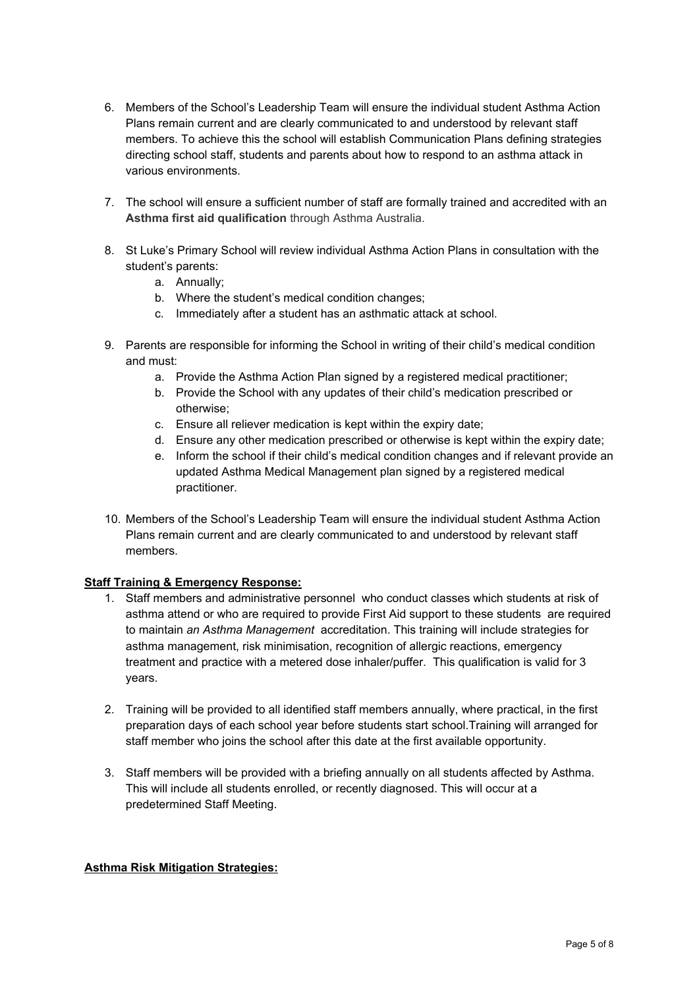- 6. Members of the School's Leadership Team will ensure the individual student Asthma Action Plans remain current and are clearly communicated to and understood by relevant staff members. To achieve this the school will establish Communication Plans defining strategies directing school staff, students and parents about how to respond to an asthma attack in various environments.
- 7. The school will ensure a sufficient number of staff are formally trained and accredited with an **Asthma first aid qualification** through Asthma Australia.
- 8. St Luke's Primary School will review individual Asthma Action Plans in consultation with the student's parents:
	- a. Annually;
	- b. Where the student's medical condition changes;
	- c. Immediately after a student has an asthmatic attack at school.
- 9. Parents are responsible for informing the School in writing of their child's medical condition and must:
	- a. Provide the Asthma Action Plan signed by a registered medical practitioner;
	- b. Provide the School with any updates of their child's medication prescribed or otherwise;
	- c. Ensure all reliever medication is kept within the expiry date;
	- d. Ensure any other medication prescribed or otherwise is kept within the expiry date;
	- e. Inform the school if their child's medical condition changes and if relevant provide an updated Asthma Medical Management plan signed by a registered medical practitioner.
- 10. Members of the School's Leadership Team will ensure the individual student Asthma Action Plans remain current and are clearly communicated to and understood by relevant staff members.

### **Staff Training & Emergency Response:**

- 1. Staff members and administrative personnel who conduct classes which students at risk of asthma attend or who are required to provide First Aid support to these students are required to maintain *an Asthma Management* accreditation. This training will include strategies for asthma management, risk minimisation, recognition of allergic reactions, emergency treatment and practice with a metered dose inhaler/puffer. This qualification is valid for 3 years.
- 2. Training will be provided to all identified staff members annually, where practical, in the first preparation days of each school year before students start school.Training will arranged for staff member who joins the school after this date at the first available opportunity.
- 3. Staff members will be provided with a briefing annually on all students affected by Asthma. This will include all students enrolled, or recently diagnosed. This will occur at a predetermined Staff Meeting.

## **Asthma Risk Mitigation Strategies:**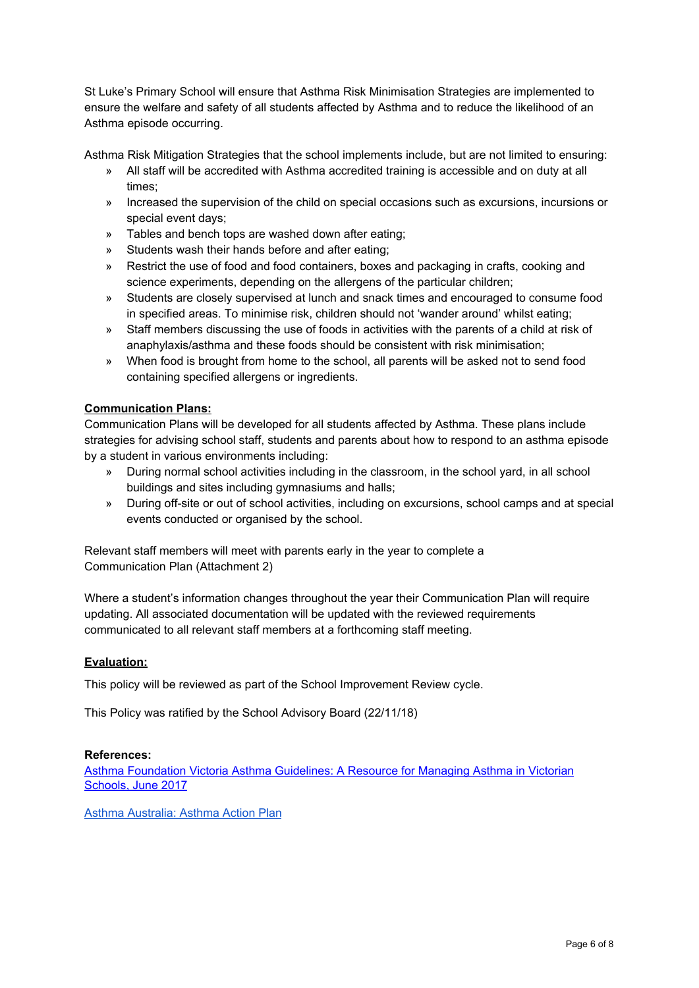St Luke's Primary School will ensure that Asthma Risk Minimisation Strategies are implemented to ensure the welfare and safety of all students affected by Asthma and to reduce the likelihood of an Asthma episode occurring.

Asthma Risk Mitigation Strategies that the school implements include, but are not limited to ensuring:

- » All staff will be accredited with Asthma accredited training is accessible and on duty at all times;
- » Increased the supervision of the child on special occasions such as excursions, incursions or special event days;
- » Tables and bench tops are washed down after eating;
- » Students wash their hands before and after eating;
- » Restrict the use of food and food containers, boxes and packaging in crafts, cooking and science experiments, depending on the allergens of the particular children;
- » Students are closely supervised at lunch and snack times and encouraged to consume food in specified areas. To minimise risk, children should not 'wander around' whilst eating;
- » Staff members discussing the use of foods in activities with the parents of a child at risk of anaphylaxis/asthma and these foods should be consistent with risk minimisation;
- » When food is brought from home to the school, all parents will be asked not to send food containing specified allergens or ingredients.

### **Communication Plans:**

Communication Plans will be developed for all students affected by Asthma. These plans include strategies for advising school staff, students and parents about how to respond to an asthma episode by a student in various environments including:

- » During normal school activities including in the classroom, in the school yard, in all school buildings and sites including gymnasiums and halls;
- » During off-site or out of school activities, including on excursions, school camps and at special events conducted or organised by the school.

Relevant staff members will meet with parents early in the year to complete a Communication Plan (Attachment 2)

Where a student's information changes throughout the year their Communication Plan will require updating. All associated documentation will be updated with the reviewed requirements communicated to all relevant staff members at a forthcoming staff meeting.

### **Evaluation:**

This policy will be reviewed as part of the School Improvement Review cycle.

This Policy was ratified by the School Advisory Board (22/11/18)

### **References:**

Asthma [Foundation](https://www.asthmaaustralia.org.au/vic/education-and-training/for-victorian-schools/victorian-schools-resources/school-resources) Victoria Asthma Guidelines: A Resource for Managing Asthma in Victorian [Schools,](https://www.asthmaaustralia.org.au/vic/education-and-training/for-victorian-schools/victorian-schools-resources/school-resources) June 2017

Asthma [Australia:](https://www.asthmaaustralia.org.au/vic/about-asthma/resources/victorian-action-plans/victorian-asthma-action-plans) Asthma Action Plan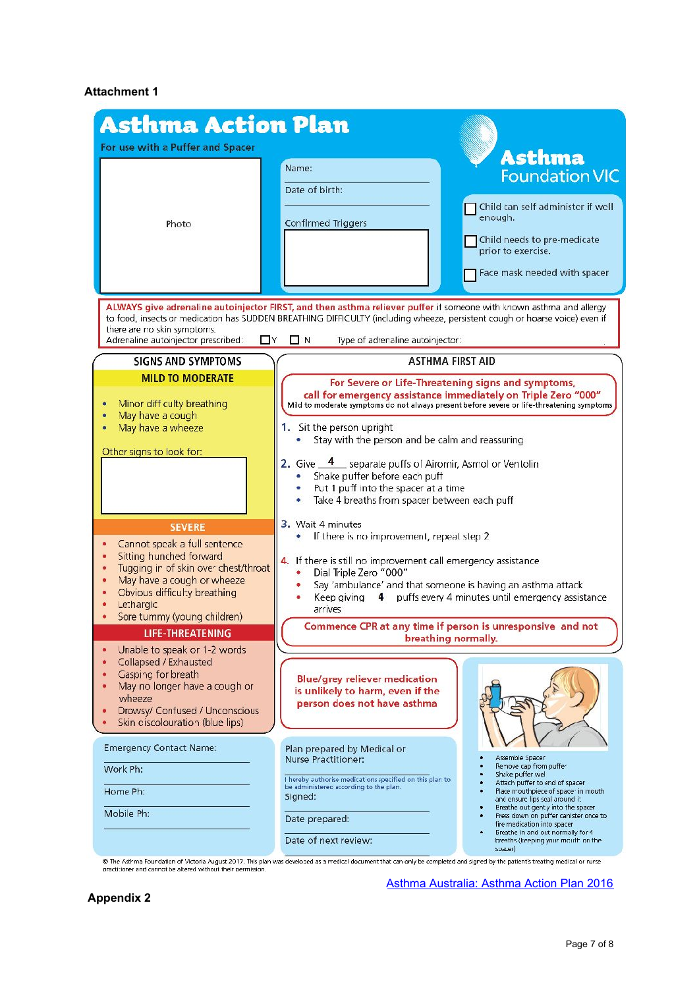## **Attachment 1**

| <b>Asthma Action Plan</b>                                                                                                                                                                                                                                                                                                                                                       |                                                                                                                                                                                                                                                                                                                                                                                                                                                                                                                                                                                                                                                                                                           |  |
|---------------------------------------------------------------------------------------------------------------------------------------------------------------------------------------------------------------------------------------------------------------------------------------------------------------------------------------------------------------------------------|-----------------------------------------------------------------------------------------------------------------------------------------------------------------------------------------------------------------------------------------------------------------------------------------------------------------------------------------------------------------------------------------------------------------------------------------------------------------------------------------------------------------------------------------------------------------------------------------------------------------------------------------------------------------------------------------------------------|--|
| For use with a Puffer and Spacer                                                                                                                                                                                                                                                                                                                                                |                                                                                                                                                                                                                                                                                                                                                                                                                                                                                                                                                                                                                                                                                                           |  |
| Photo                                                                                                                                                                                                                                                                                                                                                                           | <b>Asthma</b><br>Name:<br><b>Foundation VIC</b><br>Date of birth:<br>Child can self administer if well<br>enough.<br>Confirmed Triggers<br>Child needs to pre-medicate<br>prior to exercise.<br>Face mask needed with spacer                                                                                                                                                                                                                                                                                                                                                                                                                                                                              |  |
| ALWAYS give adrenaline autoinjector FIRST, and then asthma reliever puffer if someone with known asthma and allergy<br>to food, insects or medication has SUDDEN BREATHING DIFFICULTY (including wheeze, persistent cough or hoarse voice) even if<br>there are no skin symptoms.<br>Adrenaline autoinjector prescribed:<br>$\Box$ N<br>Type of adrenaline autoinjector:<br>L Y |                                                                                                                                                                                                                                                                                                                                                                                                                                                                                                                                                                                                                                                                                                           |  |
| <b>SIGNS AND SYMPTOMS</b>                                                                                                                                                                                                                                                                                                                                                       | <b>ASTHMA FIRST AID</b>                                                                                                                                                                                                                                                                                                                                                                                                                                                                                                                                                                                                                                                                                   |  |
| <b>MILD TO MODERATE</b><br>Minor diff culty breathing<br>May have a cough<br>May have a wheeze<br>Other signs to look for:                                                                                                                                                                                                                                                      | For Severe or Life-Threatening signs and symptoms,<br>call for emergency assistance immediately on Triple Zero "000"<br>Mild to moderate symptoms do not always present before severe or life-threatening symptoms<br>1. Sit the person upright<br>Stay with the person and be calm and reassuring<br>2. Give 4 separate puffs of Airomir, Asmol or Ventolin<br>Shake puffer before each puff<br>Put 1 puff into the spacer at a time<br>Take 4 breaths from spacer between each puff                                                                                                                                                                                                                     |  |
| <b>SEVERE</b><br>Cannot speak a full sentence<br>Sitting hunched forward<br>Tugging in of skin over chest/throat<br>May have a cough or wheeze<br>Obvious difficulty breathing<br>Lethargic<br>Sore tummy (young children)<br><b>LIFE-THREATENING</b><br>Unable to speak or 1-2 words                                                                                           | 3. Wait 4 minutes<br>If there is no improvement, repeat step 2.<br>4. If there is still no improvement call emergency assistance<br>Dial Triple Zero "000"<br>Say 'ambulance' and that someone is having an asthma attack<br>Keep giving 4 puffs every 4 minutes until emergency assistance<br>arrives<br>Commence CPR at any time if person is unresponsive and not<br>breathing normally.                                                                                                                                                                                                                                                                                                               |  |
| Collapsed / Exhausted<br>Gasping for breath<br>May no longer have a cough or<br>wheeze<br>Drowsy/ Confused / Unconscious<br>Skin ciscolouration (blue lips)<br><b>Emergency Contact Name:</b><br>Work Ph:<br>Home Ph:<br>Mobile Ph:                                                                                                                                             | <b>Blue/grey reliever medication</b><br>is unlikely to harm, even if the<br>person does not have asthma<br>Plan prepared by Medical or<br>Assemble Spacer<br>Nurse Practitioner:<br>Remove cap from puffer<br>Shake puffer wel<br>I hereby authorise medications specified on this plan to<br>Attach puffer to end of spacer<br>be administered according to the plan.<br>Flace mouthpiece of spacer in mouth<br>Signed:<br>and ensure lips seal around it.<br>Ereathe out gently into the spacer<br>Fress down on puffer canister once to<br>Date prepared:<br>fire medication into spacer<br>Breathe in and out normally for 4<br>Date of next review:<br>breaths (keeping your mouth on the<br>spacer) |  |

practitioner and cannot be altered without their permission.

**Appendix 2**

Asthma [Australia:](https://www.asthmaaustralia.org.au/vic/about-asthma/resources/victorian-action-plans/victorian-asthma-action-plans) Asthma Action Plan 2016